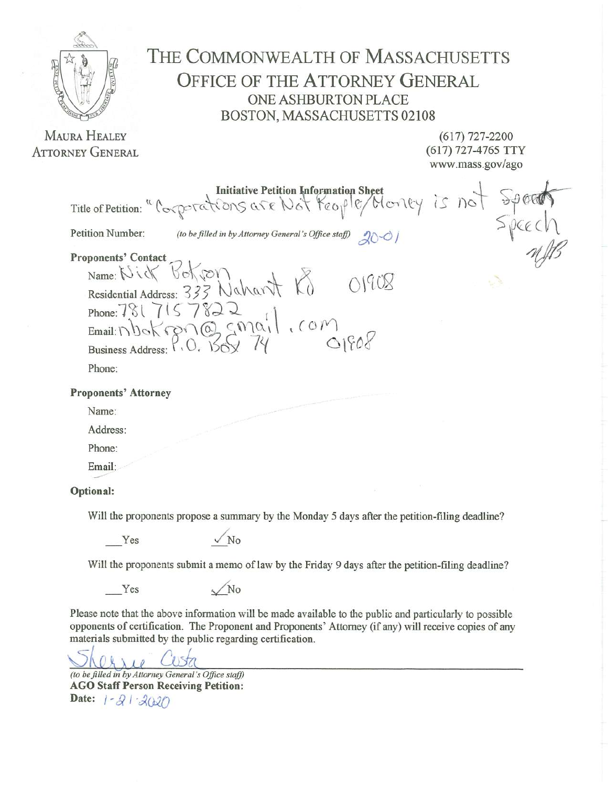

**MAURA HEALEY ATTORNEY GENERAL**  THE COMMONWEALTH OF MASSACHUSETTS **OFFICE OF THE ATTORNEY GENERAL ONE ASHBURTON PLACE** BOSTON, MASSACHUSETTS 02108

> $(617)$  727-2200 (617) 727-4765 TTY www.mass.gov/ago

Initiative Petition Information Sheet<br>Title of Petition: "Corporations are Not Yeople/Monty is not  $Spec N$ Petition Number: (to be filled in by Attorney General's Office staff)  $20 - 01$ **Proponents' Contact** bokron Name:  $\bigcup \{$ 01908 transl Residential Address:  $333$  $P_{10} \times P_{20}$ 7822 Phone:  $781$ Email:  $\bigcap$ **Business Address:** Phone: **Proponents' Attorney** Name: Address: Phone: Email: Optional:

Will the proponents propose a summary by the Monday 5 days after the petition-filing deadline?

Yes

 $\sqrt{N_0}$ 

N<sub>0</sub>

Will the proponents submit a memo of law by the Friday 9 days after the petition-filing deadline?

Yes

Please note that the above information will be made available to the public and particularly to possible opponents of certification. The Proponent and Proponents' Attorney (if any) will receive copies of any materials submitted by the public regarding certification.

 $10$ 

(to be filled in by Attorney General's Office staff) **AGO Staff Person Receiving Petition:** Date:  $1 - 21 - 2020$